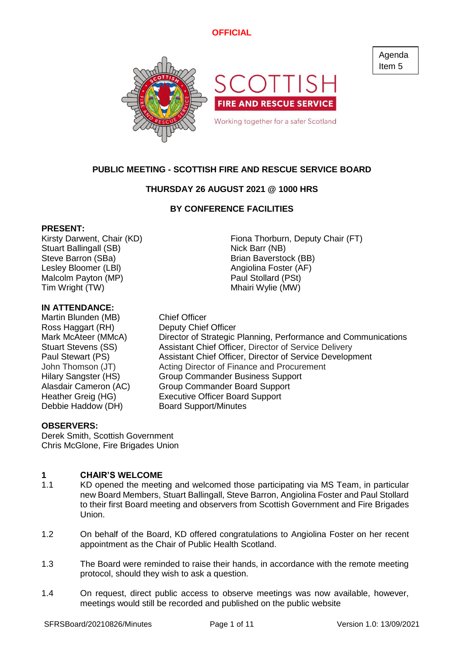

# **PUBLIC MEETING - SCOTTISH FIRE AND RESCUE SERVICE BOARD**

# **THURSDAY 26 AUGUST 2021 @ 1000 HRS**

# **BY CONFERENCE FACILITIES**

### **PRESENT:**

Stuart Ballingall (SB) Nick Barr (NB) Steve Barron (SBa) Brian Baverstock (BB) Lesley Bloomer (LBI) Angiolina Foster (AF) Malcolm Payton (MP) **Paul Stollard (PSt)** Tim Wright (TW) Tim Wright (TW)

### **IN ATTENDANCE:**

Martin Blunden (MB) Chief Officer Ross Haggart (RH) Deputy Chief Officer Debbie Haddow (DH) Board Support/Minutes

Kirsty Darwent, Chair (KD) Fiona Thorburn, Deputy Chair (FT)

Mark McAteer (MMcA) Director of Strategic Planning, Performance and Communications Stuart Stevens (SS) Assistant Chief Officer, Director of Service Delivery Paul Stewart (PS) Assistant Chief Officer, Director of Service Development John Thomson (JT) Acting Director of Finance and Procurement Hilary Sangster (HS) Group Commander Business Support Alasdair Cameron (AC) Group Commander Board Support Heather Greig (HG) Executive Officer Board Support

# **OBSERVERS:**

Derek Smith, Scottish Government Chris McGlone, Fire Brigades Union

#### **1 CHAIR'S WELCOME**

- 1.1 KD opened the meeting and welcomed those participating via MS Team, in particular new Board Members, Stuart Ballingall, Steve Barron, Angiolina Foster and Paul Stollard to their first Board meeting and observers from Scottish Government and Fire Brigades Union.
- 1.2 On behalf of the Board, KD offered congratulations to Angiolina Foster on her recent appointment as the Chair of Public Health Scotland.
- 1.3 The Board were reminded to raise their hands, in accordance with the remote meeting protocol, should they wish to ask a question.
- 1.4 On request, direct public access to observe meetings was now available, however, meetings would still be recorded and published on the public website

Agenda Item 5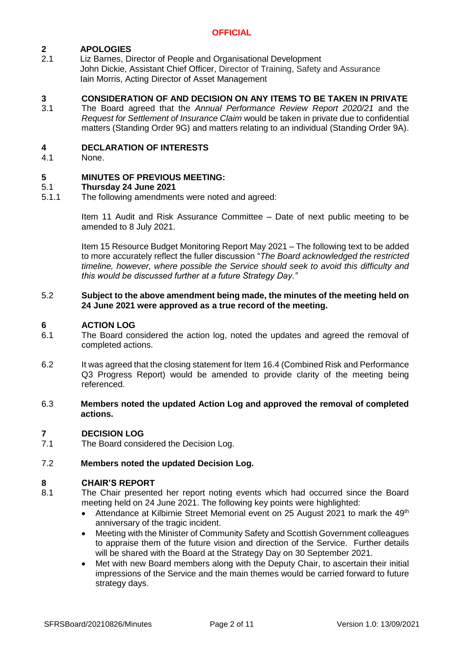#### **2 APOLOGIES**

2.1 Liz Barnes, Director of People and Organisational Development John Dickie, Assistant Chief Officer, Director of Training, Safety and Assurance Iain Morris, Acting Director of Asset Management

#### **3 CONSIDERATION OF AND DECISION ON ANY ITEMS TO BE TAKEN IN PRIVATE**

3.1 The Board agreed that the *Annual Performance Review Report 2020/21* and the *Request for Settlement of Insurance Claim* would be taken in private due to confidential matters (Standing Order 9G) and matters relating to an individual (Standing Order 9A).

#### **4 DECLARATION OF INTERESTS**

4.1 None.

#### **5 MINUTES OF PREVIOUS MEETING:**

#### 5.1 **Thursday 24 June 2021**

5.1.1 The following amendments were noted and agreed:

> Item 11 Audit and Risk Assurance Committee – Date of next public meeting to be amended to 8 July 2021.

> Item 15 Resource Budget Monitoring Report May 2021 – The following text to be added to more accurately reflect the fuller discussion "*The Board acknowledged the restricted timeline, however, where possible the Service should seek to avoid this difficulty and this would be discussed further at a future Strategy Day."*

### 5.2 **Subject to the above amendment being made, the minutes of the meeting held on 24 June 2021 were approved as a true record of the meeting.**

#### **6 ACTION LOG**

- 6.1 The Board considered the action log, noted the updates and agreed the removal of completed actions.
- 6.2 It was agreed that the closing statement for Item 16.4 (Combined Risk and Performance Q3 Progress Report) would be amended to provide clarity of the meeting being referenced.
- 6.3 **Members noted the updated Action Log and approved the removal of completed actions.**

#### **7 DECISION LOG**

7.1 The Board considered the Decision Log.

#### 7.2 **Members noted the updated Decision Log.**

### **8 CHAIR'S REPORT**

- 8.1 The Chair presented her report noting events which had occurred since the Board meeting held on 24 June 2021. The following key points were highlighted:
	- Attendance at Kilbirnie Street Memorial event on 25 August 2021 to mark the 49<sup>th</sup> anniversary of the tragic incident.
	- Meeting with the Minister of Community Safety and Scottish Government colleagues to appraise them of the future vision and direction of the Service. Further details will be shared with the Board at the Strategy Day on 30 September 2021.
	- Met with new Board members along with the Deputy Chair, to ascertain their initial impressions of the Service and the main themes would be carried forward to future strategy days.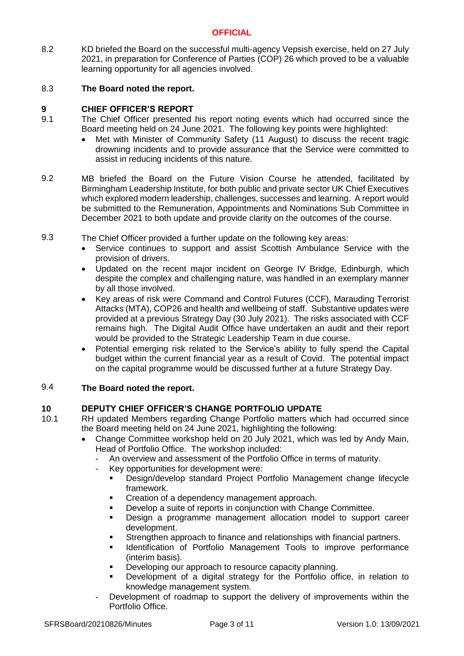8.2 KD briefed the Board on the successful multi-agency Vepsish exercise, held on 27 July 2021, in preparation for Conference of Parties (COP) 26 which proved to be a valuable learning opportunity for all agencies involved.

#### 8.3 **The Board noted the report.**

# **9 CHIEF OFFICER'S REPORT**

- 9.1 The Chief Officer presented his report noting events which had occurred since the Board meeting held on 24 June 2021. The following key points were highlighted:
	- Met with Minister of Community Safety (11 August) to discuss the recent tragic drowning incidents and to provide assurance that the Service were committed to assist in reducing incidents of this nature.
- 9.2 MB briefed the Board on the Future Vision Course he attended, facilitated by Birmingham Leadership Institute, for both public and private sector UK Chief Executives which explored modern leadership, challenges, successes and learning. A report would be submitted to the Remuneration, Appointments and Nominations Sub Committee in December 2021 to both update and provide clarity on the outcomes of the course.
- 9.3 The Chief Officer provided a further update on the following key areas:
	- Service continues to support and assist Scottish Ambulance Service with the provision of drivers.
	- Updated on the recent major incident on George IV Bridge, Edinburgh, which despite the complex and challenging nature, was handled in an exemplary manner by all those involved.
	- Key areas of risk were Command and Control Futures (CCF), Marauding Terrorist Attacks (MTA), COP26 and health and wellbeing of staff. Substantive updates were provided at a previous Strategy Day (30 July 2021). The risks associated with CCF remains high. The Digital Audit Office have undertaken an audit and their report would be provided to the Strategic Leadership Team in due course.
	- Potential emerging risk related to the Service's ability to fully spend the Capital budget within the current financial year as a result of Covid. The potential impact on the capital programme would be discussed further at a future Strategy Day.

#### 9.4 **The Board noted the report.**

# **10 DEPUTY CHIEF OFFICER'S CHANGE PORTFOLIO UPDATE**

- 10.1 RH updated Members regarding Change Portfolio matters which had occurred since the Board meeting held on 24 June 2021, highlighting the following:
	- Change Committee workshop held on 20 July 2021, which was led by Andy Main, Head of Portfolio Office. The workshop included:
		- An overview and assessment of the Portfolio Office in terms of maturity.
		- Key opportunities for development were:
			- Design/develop standard Project Portfolio Management change lifecycle framework.
			- Creation of a dependency management approach.
			- Develop a suite of reports in conjunction with Change Committee.
			- Design a programme management allocation model to support career development.
			- **EXECTED EXECTED EXECTED EXECTED** Strengthen approach to financial partners.
			- **■** Identification of Portfolio Management Tools to improve performance (interim basis).
			- **•** Developing our approach to resource capacity planning.
			- Development of a digital strategy for the Portfolio office, in relation to knowledge management system.
		- Development of roadmap to support the delivery of improvements within the Portfolio Office.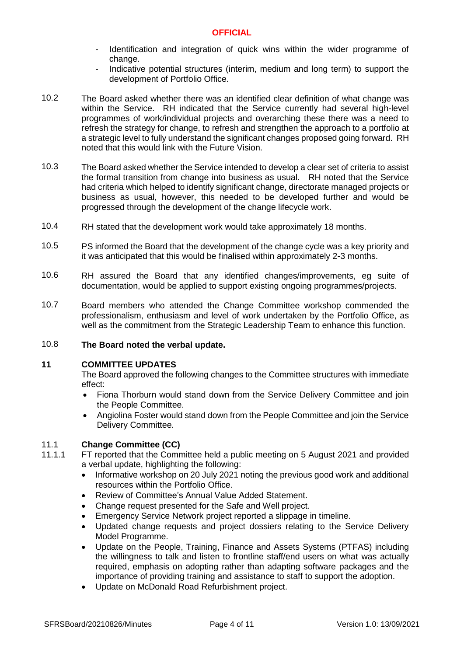- Identification and integration of quick wins within the wider programme of change.
- Indicative potential structures (interim, medium and long term) to support the development of Portfolio Office.
- 10.2 The Board asked whether there was an identified clear definition of what change was within the Service. RH indicated that the Service currently had several high-level programmes of work/individual projects and overarching these there was a need to refresh the strategy for change, to refresh and strengthen the approach to a portfolio at a strategic level to fully understand the significant changes proposed going forward. RH noted that this would link with the Future Vision.
- 10.3 The Board asked whether the Service intended to develop a clear set of criteria to assist the formal transition from change into business as usual. RH noted that the Service had criteria which helped to identify significant change, directorate managed projects or business as usual, however, this needed to be developed further and would be progressed through the development of the change lifecycle work.
- 10.4 RH stated that the development work would take approximately 18 months.
- 10.5 PS informed the Board that the development of the change cycle was a key priority and it was anticipated that this would be finalised within approximately 2-3 months.
- 10.6 RH assured the Board that any identified changes/improvements, eg suite of documentation, would be applied to support existing ongoing programmes/projects.
- 10.7 Board members who attended the Change Committee workshop commended the professionalism, enthusiasm and level of work undertaken by the Portfolio Office, as well as the commitment from the Strategic Leadership Team to enhance this function.

#### 10.8 **The Board noted the verbal update.**

### **11 COMMITTEE UPDATES**

The Board approved the following changes to the Committee structures with immediate effect:

- Fiona Thorburn would stand down from the Service Delivery Committee and join the People Committee.
- Angiolina Foster would stand down from the People Committee and join the Service Delivery Committee.

#### 11.1 **Change Committee (CC)**

- 11.1.1 FT reported that the Committee held a public meeting on 5 August 2021 and provided a verbal update, highlighting the following:
	- Informative workshop on 20 July 2021 noting the previous good work and additional resources within the Portfolio Office.
	- Review of Committee's Annual Value Added Statement.
	- Change request presented for the Safe and Well project.
	- Emergency Service Network project reported a slippage in timeline.
	- Updated change requests and project dossiers relating to the Service Delivery Model Programme.
	- Update on the People, Training, Finance and Assets Systems (PTFAS) including the willingness to talk and listen to frontline staff/end users on what was actually required, emphasis on adopting rather than adapting software packages and the importance of providing training and assistance to staff to support the adoption.
	- Update on McDonald Road Refurbishment project.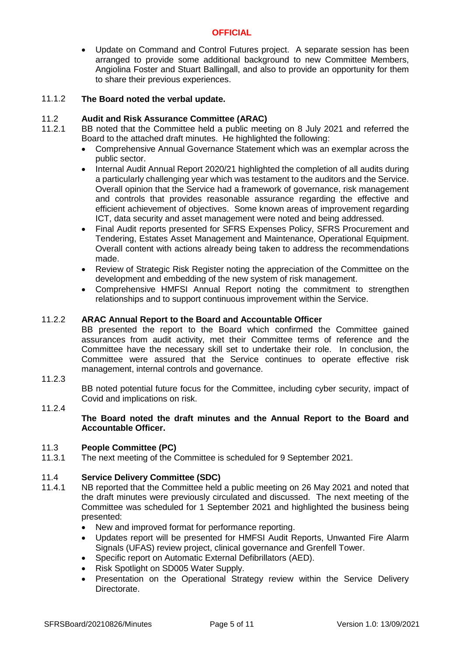• Update on Command and Control Futures project. A separate session has been arranged to provide some additional background to new Committee Members, Angiolina Foster and Stuart Ballingall, and also to provide an opportunity for them to share their previous experiences.

#### 11.1.2 **The Board noted the verbal update.**

#### 11.2 **Audit and Risk Assurance Committee (ARAC)**

- 11.2.1 BB noted that the Committee held a public meeting on 8 July 2021 and referred the Board to the attached draft minutes. He highlighted the following:
	- Comprehensive Annual Governance Statement which was an exemplar across the public sector.
	- Internal Audit Annual Report 2020/21 highlighted the completion of all audits during a particularly challenging year which was testament to the auditors and the Service. Overall opinion that the Service had a framework of governance, risk management and controls that provides reasonable assurance regarding the effective and efficient achievement of objectives. Some known areas of improvement regarding ICT, data security and asset management were noted and being addressed.
	- Final Audit reports presented for SFRS Expenses Policy, SFRS Procurement and Tendering, Estates Asset Management and Maintenance, Operational Equipment. Overall content with actions already being taken to address the recommendations made.
	- Review of Strategic Risk Register noting the appreciation of the Committee on the development and embedding of the new system of risk management.
	- Comprehensive HMFSI Annual Report noting the commitment to strengthen relationships and to support continuous improvement within the Service.

#### 11.2.2 **ARAC Annual Report to the Board and Accountable Officer**

BB presented the report to the Board which confirmed the Committee gained assurances from audit activity, met their Committee terms of reference and the Committee have the necessary skill set to undertake their role. In conclusion, the Committee were assured that the Service continues to operate effective risk management, internal controls and governance.

11.2.3

BB noted potential future focus for the Committee, including cyber security, impact of Covid and implications on risk.

11.2.4

**The Board noted the draft minutes and the Annual Report to the Board and Accountable Officer.**

#### 11.3 **People Committee (PC)**

11.3.1 The next meeting of the Committee is scheduled for 9 September 2021.

#### 11.4 **Service Delivery Committee (SDC)**

- 11.4.1 NB reported that the Committee held a public meeting on 26 May 2021 and noted that the draft minutes were previously circulated and discussed. The next meeting of the Committee was scheduled for 1 September 2021 and highlighted the business being presented:
	- New and improved format for performance reporting.
	- Updates report will be presented for HMFSI Audit Reports, Unwanted Fire Alarm Signals (UFAS) review project, clinical governance and Grenfell Tower.
	- Specific report on Automatic External Defibrillators (AED).
	- Risk Spotlight on SD005 Water Supply.
	- Presentation on the Operational Strategy review within the Service Delivery Directorate.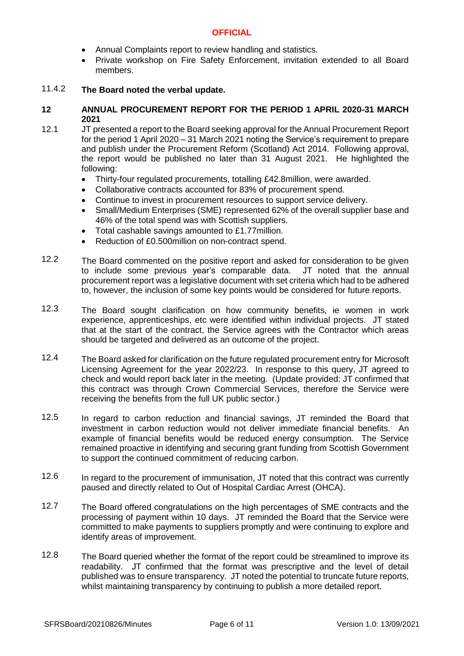- Annual Complaints report to review handling and statistics.
- Private workshop on Fire Safety Enforcement, invitation extended to all Board members.

#### 11.4.2 **The Board noted the verbal update.**

### **12 ANNUAL PROCUREMENT REPORT FOR THE PERIOD 1 APRIL 2020-31 MARCH 2021**

12.1 JT presented a report to the Board seeking approval for the Annual Procurement Report for the period 1 April 2020 – 31 March 2021 noting the Service's requirement to prepare and publish under the Procurement Reform (Scotland) Act 2014. Following approval, the report would be published no later than 31 August 2021. He highlighted the following:

- Thirty-four regulated procurements, totalling £42.8million, were awarded.
- Collaborative contracts accounted for 83% of procurement spend.
- Continue to invest in procurement resources to support service delivery.
- Small/Medium Enterprises (SME) represented 62% of the overall supplier base and 46% of the total spend was with Scottish suppliers.
- Total cashable savings amounted to £1.77million.
- Reduction of £0.500million on non-contract spend.
- 12.2 The Board commented on the positive report and asked for consideration to be given to include some previous year's comparable data. JT noted that the annual procurement report was a legislative document with set criteria which had to be adhered to, however, the inclusion of some key points would be considered for future reports.
- 12.3 The Board sought clarification on how community benefits, ie women in work experience, apprenticeships, etc were identified within individual projects. JT stated that at the start of the contract, the Service agrees with the Contractor which areas should be targeted and delivered as an outcome of the project.
- 12.4 The Board asked for clarification on the future regulated procurement entry for Microsoft Licensing Agreement for the year 2022/23. In response to this query, JT agreed to check and would report back later in the meeting. (Update provided: JT confirmed that this contract was through Crown Commercial Services, therefore the Service were receiving the benefits from the full UK public sector.)
- 12.5 In regard to carbon reduction and financial savings, JT reminded the Board that investment in carbon reduction would not deliver immediate financial benefits. An example of financial benefits would be reduced energy consumption. The Service remained proactive in identifying and securing grant funding from Scottish Government to support the continued commitment of reducing carbon.
- 12.6 In regard to the procurement of immunisation, JT noted that this contract was currently paused and directly related to Out of Hospital Cardiac Arrest (OHCA).
- 12.7 The Board offered congratulations on the high percentages of SME contracts and the processing of payment within 10 days. JT reminded the Board that the Service were committed to make payments to suppliers promptly and were continuing to explore and identify areas of improvement.
- 12.8 The Board queried whether the format of the report could be streamlined to improve its readability. JT confirmed that the format was prescriptive and the level of detail published was to ensure transparency. JT noted the potential to truncate future reports, whilst maintaining transparency by continuing to publish a more detailed report.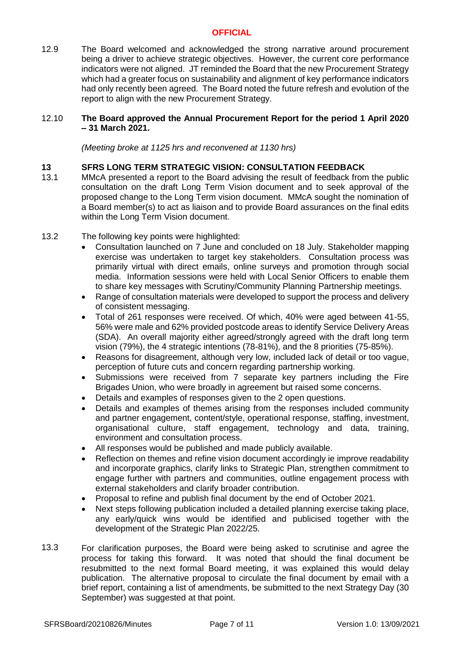12.9 The Board welcomed and acknowledged the strong narrative around procurement being a driver to achieve strategic objectives. However, the current core performance indicators were not aligned. JT reminded the Board that the new Procurement Strategy which had a greater focus on sustainability and alignment of key performance indicators had only recently been agreed. The Board noted the future refresh and evolution of the report to align with the new Procurement Strategy.

### 12.10 **The Board approved the Annual Procurement Report for the period 1 April 2020 – 31 March 2021.**

*(Meeting broke at 1125 hrs and reconvened at 1130 hrs)*

# **13 SFRS LONG TERM STRATEGIC VISION: CONSULTATION FEEDBACK**

- 13.1 MMcA presented a report to the Board advising the result of feedback from the public consultation on the draft Long Term Vision document and to seek approval of the proposed change to the Long Term vision document. MMcA sought the nomination of a Board member(s) to act as liaison and to provide Board assurances on the final edits within the Long Term Vision document.
- 13.2 The following key points were highlighted:
	- Consultation launched on 7 June and concluded on 18 July. Stakeholder mapping exercise was undertaken to target key stakeholders. Consultation process was primarily virtual with direct emails, online surveys and promotion through social media. Information sessions were held with Local Senior Officers to enable them to share key messages with Scrutiny/Community Planning Partnership meetings.
	- Range of consultation materials were developed to support the process and delivery of consistent messaging.
	- Total of 261 responses were received. Of which, 40% were aged between 41-55, 56% were male and 62% provided postcode areas to identify Service Delivery Areas (SDA). An overall majority either agreed/strongly agreed with the draft long term vision (79%), the 4 strategic intentions (78-81%), and the 8 priorities (75-85%).
	- Reasons for disagreement, although very low, included lack of detail or too vague, perception of future cuts and concern regarding partnership working.
	- Submissions were received from 7 separate key partners including the Fire Brigades Union, who were broadly in agreement but raised some concerns.
	- Details and examples of responses given to the 2 open questions.
	- Details and examples of themes arising from the responses included community and partner engagement, content/style, operational response, staffing, investment, organisational culture, staff engagement, technology and data, training, environment and consultation process.
	- All responses would be published and made publicly available.
	- Reflection on themes and refine vision document accordingly ie improve readability and incorporate graphics, clarify links to Strategic Plan, strengthen commitment to engage further with partners and communities, outline engagement process with external stakeholders and clarify broader contribution.
	- Proposal to refine and publish final document by the end of October 2021.
	- Next steps following publication included a detailed planning exercise taking place, any early/quick wins would be identified and publicised together with the development of the Strategic Plan 2022/25.
- 13.3 For clarification purposes, the Board were being asked to scrutinise and agree the process for taking this forward. It was noted that should the final document be resubmitted to the next formal Board meeting, it was explained this would delay publication. The alternative proposal to circulate the final document by email with a brief report, containing a list of amendments, be submitted to the next Strategy Day (30 September) was suggested at that point.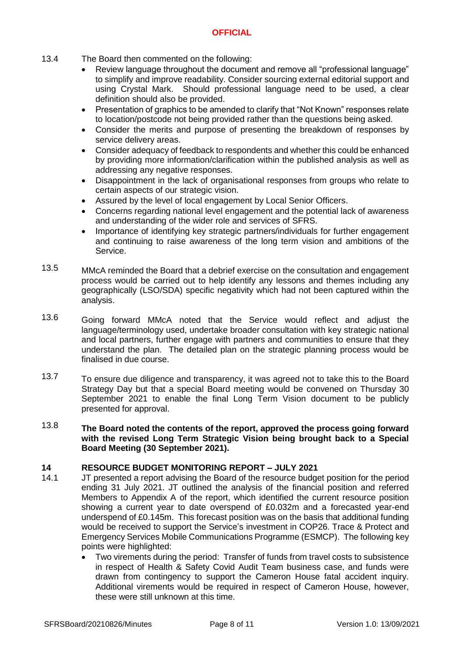- 13.4 The Board then commented on the following:
	- Review language throughout the document and remove all "professional language" to simplify and improve readability. Consider sourcing external editorial support and using Crystal Mark. Should professional language need to be used, a clear definition should also be provided.
	- Presentation of graphics to be amended to clarify that "Not Known" responses relate to location/postcode not being provided rather than the questions being asked.
	- Consider the merits and purpose of presenting the breakdown of responses by service delivery areas.
	- Consider adequacy of feedback to respondents and whether this could be enhanced by providing more information/clarification within the published analysis as well as addressing any negative responses.
	- Disappointment in the lack of organisational responses from groups who relate to certain aspects of our strategic vision.
	- Assured by the level of local engagement by Local Senior Officers.
	- Concerns regarding national level engagement and the potential lack of awareness and understanding of the wider role and services of SFRS.
	- Importance of identifying key strategic partners/individuals for further engagement and continuing to raise awareness of the long term vision and ambitions of the Service.
- 13.5 MMcA reminded the Board that a debrief exercise on the consultation and engagement process would be carried out to help identify any lessons and themes including any geographically (LSO/SDA) specific negativity which had not been captured within the analysis.
- 13.6 Going forward MMcA noted that the Service would reflect and adjust the language/terminology used, undertake broader consultation with key strategic national and local partners, further engage with partners and communities to ensure that they understand the plan. The detailed plan on the strategic planning process would be finalised in due course.
- 13.7 To ensure due diligence and transparency, it was agreed not to take this to the Board Strategy Day but that a special Board meeting would be convened on Thursday 30 September 2021 to enable the final Long Term Vision document to be publicly presented for approval.
- 13.8 **The Board noted the contents of the report, approved the process going forward with the revised Long Term Strategic Vision being brought back to a Special Board Meeting (30 September 2021).**

# **14 RESOURCE BUDGET MONITORING REPORT – JULY 2021**

- 14.1 JT presented a report advising the Board of the resource budget position for the period ending 31 July 2021. JT outlined the analysis of the financial position and referred Members to Appendix A of the report, which identified the current resource position showing a current year to date overspend of £0.032m and a forecasted year-end underspend of £0.145m. This forecast position was on the basis that additional funding would be received to support the Service's investment in COP26. Trace & Protect and Emergency Services Mobile Communications Programme (ESMCP). The following key points were highlighted:
	- Two virements during the period: Transfer of funds from travel costs to subsistence in respect of Health & Safety Covid Audit Team business case, and funds were drawn from contingency to support the Cameron House fatal accident inquiry. Additional virements would be required in respect of Cameron House, however, these were still unknown at this time.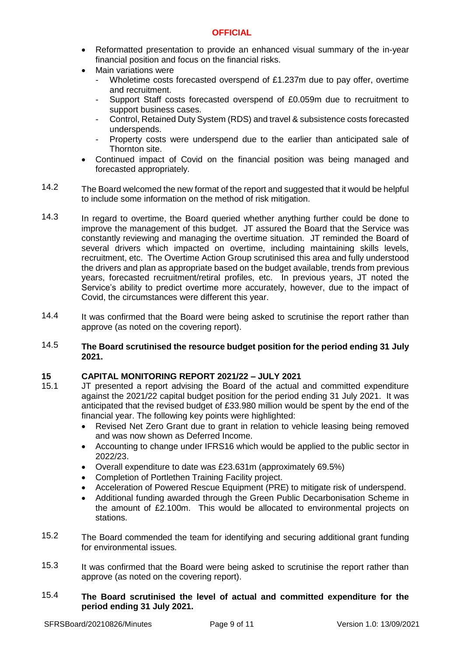- Reformatted presentation to provide an enhanced visual summary of the in-year financial position and focus on the financial risks.
- Main variations were
	- Wholetime costs forecasted overspend of £1.237m due to pay offer, overtime and recruitment.
	- Support Staff costs forecasted overspend of £0.059m due to recruitment to support business cases.
	- Control, Retained Duty System (RDS) and travel & subsistence costs forecasted underspends.
	- Property costs were underspend due to the earlier than anticipated sale of Thornton site.
- Continued impact of Covid on the financial position was being managed and forecasted appropriately.
- 14.2 The Board welcomed the new format of the report and suggested that it would be helpful to include some information on the method of risk mitigation.
- 14.3 In regard to overtime, the Board queried whether anything further could be done to improve the management of this budget. JT assured the Board that the Service was constantly reviewing and managing the overtime situation. JT reminded the Board of several drivers which impacted on overtime, including maintaining skills levels, recruitment, etc. The Overtime Action Group scrutinised this area and fully understood the drivers and plan as appropriate based on the budget available, trends from previous years, forecasted recruitment/retiral profiles, etc. In previous years, JT noted the Service's ability to predict overtime more accurately, however, due to the impact of Covid, the circumstances were different this year.
- 14.4 It was confirmed that the Board were being asked to scrutinise the report rather than approve (as noted on the covering report).
- 14.5 **The Board scrutinised the resource budget position for the period ending 31 July 2021.**

# **15 CAPITAL MONITORING REPORT 2021/22 – JULY 2021**

- 15.1 JT presented a report advising the Board of the actual and committed expenditure against the 2021/22 capital budget position for the period ending 31 July 2021. It was anticipated that the revised budget of £33.980 million would be spent by the end of the financial year. The following key points were highlighted:
	- Revised Net Zero Grant due to grant in relation to vehicle leasing being removed and was now shown as Deferred Income.
	- Accounting to change under IFRS16 which would be applied to the public sector in 2022/23.
	- Overall expenditure to date was £23.631m (approximately 69.5%)
	- Completion of Portlethen Training Facility project.
	- Acceleration of Powered Rescue Equipment (PRE) to mitigate risk of underspend.
	- Additional funding awarded through the Green Public Decarbonisation Scheme in the amount of £2.100m. This would be allocated to environmental projects on stations.
- 15.2 The Board commended the team for identifying and securing additional grant funding for environmental issues.
- 15.3 It was confirmed that the Board were being asked to scrutinise the report rather than approve (as noted on the covering report).
- 15.4 **The Board scrutinised the level of actual and committed expenditure for the period ending 31 July 2021.**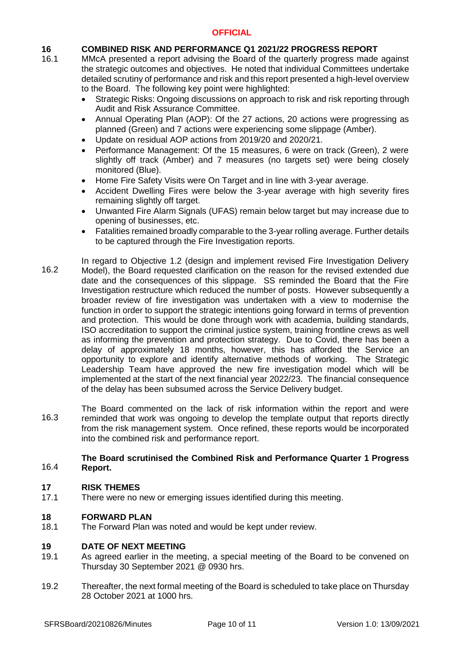### **16 COMBINED RISK AND PERFORMANCE Q1 2021/22 PROGRESS REPORT**

- 16.1 MMcA presented a report advising the Board of the quarterly progress made against the strategic outcomes and objectives. He noted that individual Committees undertake detailed scrutiny of performance and risk and this report presented a high-level overview to the Board. The following key point were highlighted:
	- Strategic Risks: Ongoing discussions on approach to risk and risk reporting through Audit and Risk Assurance Committee.
	- Annual Operating Plan (AOP): Of the 27 actions, 20 actions were progressing as planned (Green) and 7 actions were experiencing some slippage (Amber).
	- Update on residual AOP actions from 2019/20 and 2020/21.
	- Performance Management: Of the 15 measures, 6 were on track (Green), 2 were slightly off track (Amber) and 7 measures (no targets set) were being closely monitored (Blue).
	- Home Fire Safety Visits were On Target and in line with 3-year average.
	- Accident Dwelling Fires were below the 3-year average with high severity fires remaining slightly off target.
	- Unwanted Fire Alarm Signals (UFAS) remain below target but may increase due to opening of businesses, etc.
	- Fatalities remained broadly comparable to the 3-year rolling average. Further details to be captured through the Fire Investigation reports.
- 16.2 In regard to Objective 1.2 (design and implement revised Fire Investigation Delivery Model), the Board requested clarification on the reason for the revised extended due date and the consequences of this slippage. SS reminded the Board that the Fire Investigation restructure which reduced the number of posts. However subsequently a broader review of fire investigation was undertaken with a view to modernise the function in order to support the strategic intentions going forward in terms of prevention and protection. This would be done through work with academia, building standards, ISO accreditation to support the criminal justice system, training frontline crews as well as informing the prevention and protection strategy. Due to Covid, there has been a delay of approximately 18 months, however, this has afforded the Service an opportunity to explore and identify alternative methods of working. The Strategic Leadership Team have approved the new fire investigation model which will be implemented at the start of the next financial year 2022/23. The financial consequence of the delay has been subsumed across the Service Delivery budget.
- 16.3 The Board commented on the lack of risk information within the report and were reminded that work was ongoing to develop the template output that reports directly from the risk management system. Once refined, these reports would be incorporated into the combined risk and performance report.

### 16.4 **The Board scrutinised the Combined Risk and Performance Quarter 1 Progress Report.**

### **17 RISK THEMES**

17.1 There were no new or emerging issues identified during this meeting.

### **18 FORWARD PLAN**

18.1 The Forward Plan was noted and would be kept under review.

### **19 DATE OF NEXT MEETING**

- 19.1 As agreed earlier in the meeting, a special meeting of the Board to be convened on Thursday 30 September 2021 @ 0930 hrs.
- 19.2 Thereafter, the next formal meeting of the Board is scheduled to take place on Thursday 28 October 2021 at 1000 hrs.